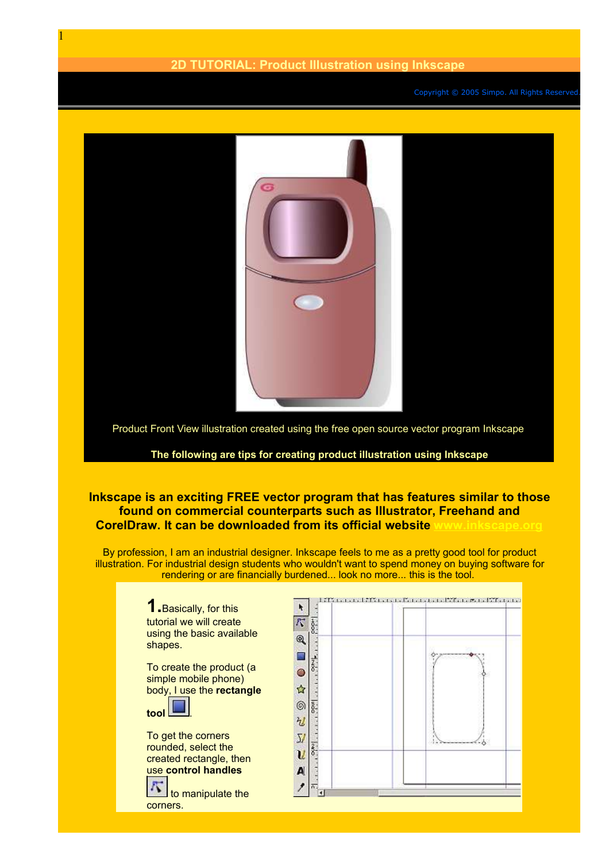## **2D TUTORIAL: Product Illustration using Inkscape**

Copyright © 2005 Simpo. All Rights Reserved



Product Front View illustration created using the free open source vector program Inkscape

## **The following are tips for creating product illustration using Inkscape**

## **Inkscape is an exciting FREE vector program that has features similar to those found on commercial counterparts such as Illustrator, Freehand and CorelDraw.** It can be downloaded from its official website

By profession, I am an industrial designer. Inkscape feels to me as a pretty good tool for product illustration. For industrial design students who wouldn't want to spend money on buying software for

> **1.**Basically, for this tutorial we will create using the basic available shapes.

To create the product (a simple mobile phone) body, I use the **rectangle**



1

To get the corners rounded, select the created rectangle, then use **control handles**

 to manipulate the corners.

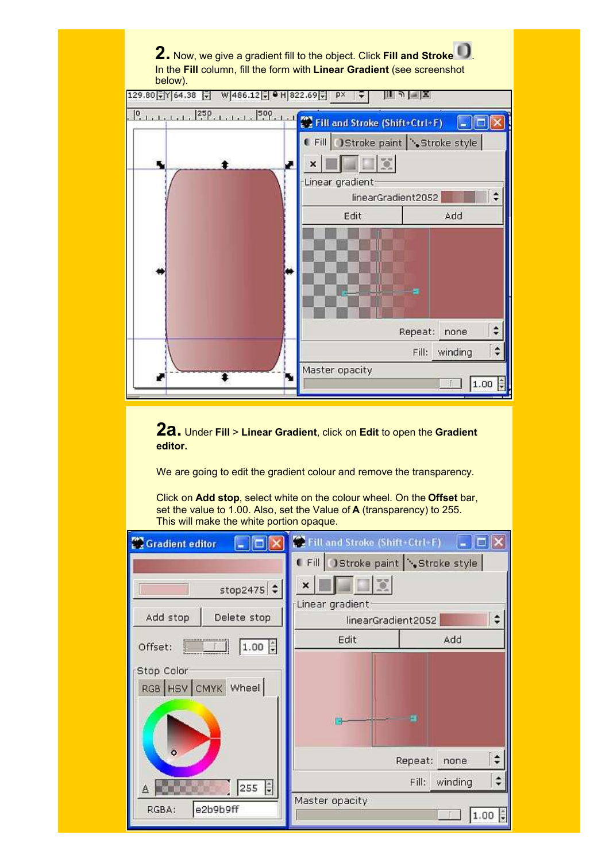

**2a.** Under **Fill** <sup>&</sup>gt; **Linear Gradient**, click on **Edit** to open the **Gradient editor.**

We are going to edit the gradient colour and remove the transparency.

Click on **Add stop**, select white on the colour wheel. On the **Offset** bar, set the value to 1.00. Also, set the Value of **A** (transparency) to 255. This will make the white portion opaque.

| <b>Gradient editor</b>           | Fill and Stroke (Shift+Ctrl+F) |                  |
|----------------------------------|--------------------------------|------------------|
|                                  | Fill Stroke paint Stroke style |                  |
| stop2475 $\div$                  | Linear gradient                |                  |
| Add stop<br>Delete stop          | linearGradient2052             |                  |
| $1.00 \div$<br>Offset:           | Edit                           | Add              |
| Stop Color<br>RGB HSV CMYK Wheel |                                | 田                |
| $\ddot{\circ}$                   |                                | Repeat:<br>none  |
| 255                              |                                | Fill:<br>winding |
| e2b9b9ff<br>RGBA:                | Master opacity                 | 1.00             |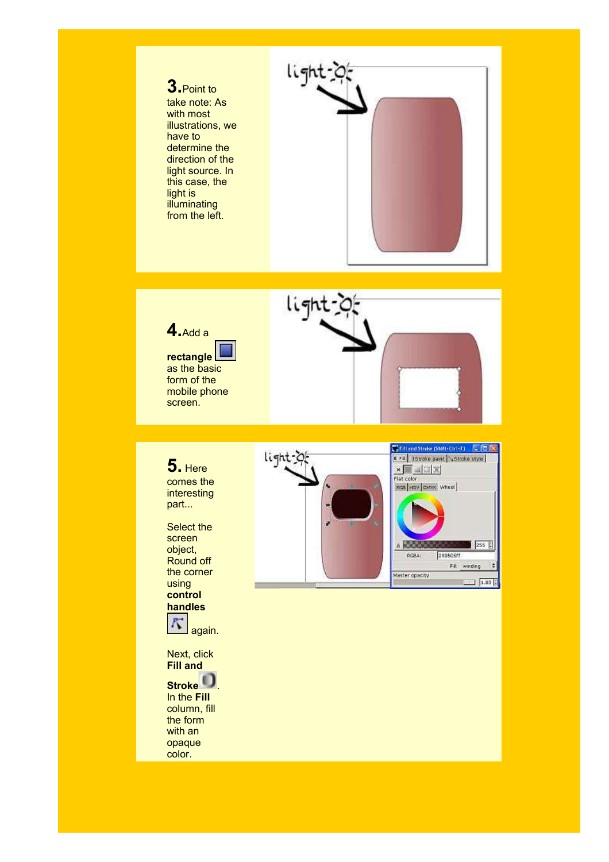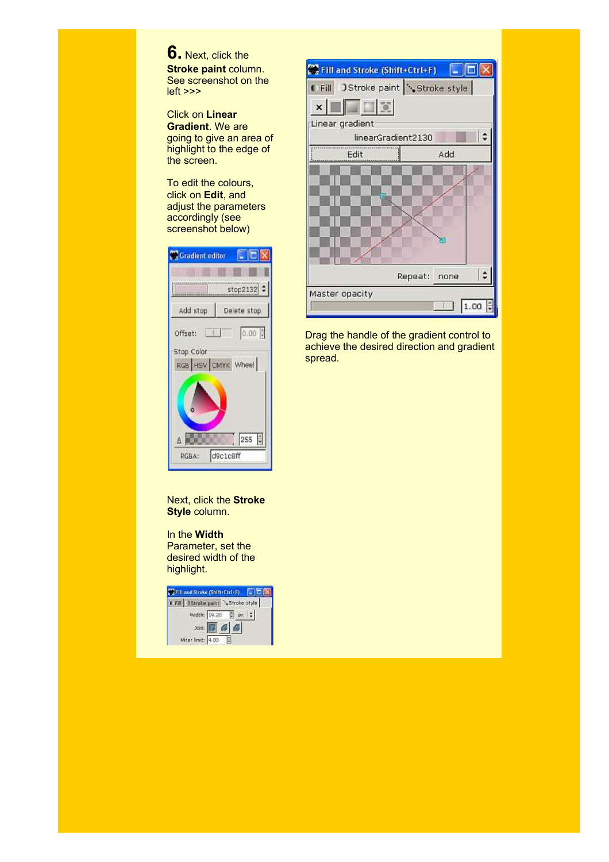**6.** Next, click the **Stroke paint** column. See screenshot on the left >>>

Click on **Linear Gradient**. We are going to give an area of highlight to the edge of the screen.

To edit the colours, click on **Edit**, and adjust the parameters accordingly (see screenshot below)

| <b>Gradient editor</b>           |
|----------------------------------|
|                                  |
| stop2132 ÷                       |
| Add stop<br>Delete stop          |
| 0.00<br>Offset:                  |
| Stop Color<br>RGB HSV CMYK Wheel |
|                                  |
|                                  |
| 255<br>Á                         |
| d9c1c8ff<br>RGBA:                |

Next, click the **Stroke Style** column.

In the **Width** Parameter, set the desired width of the highlight.

| Fill and Stroke (Shift+Ctrl+F)            |  |
|-------------------------------------------|--|
| Fill Stroke paint N Stroke style          |  |
| Width: 19.20   px   ;                     |  |
| $\n  Join: \boxed{B} \boxed{C} \boxed{C}$ |  |
| Miter limit: 4.00                         |  |



Drag the handle of the gradient control to achieve the desired direction and gradient spread.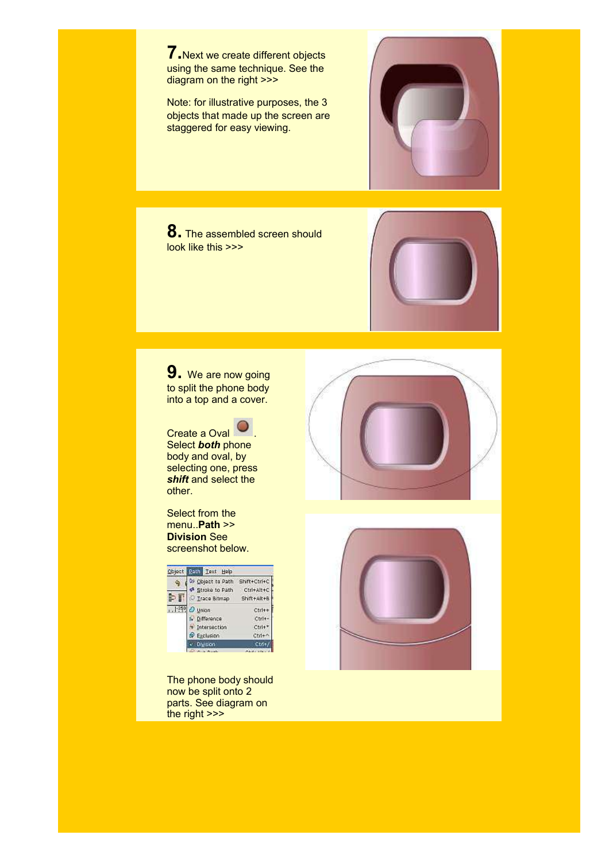**7.**Next we create different objects using the same technique. See the diagram on the right >>>

Note: for illustrative purposes, the 3 objects that made up the screen are staggered for easy viewing.



**8.** The assembled screen should look like this >>>



**9.** We are now going to split the phone body into a top and a cover.

Create a Oval  $\bigcirc$ Select *both* phone body and oval, by selecting one, press *shift* and select the other.

Select from the menu..**Path** >> **Division** See screenshot below.

| Object | <b>Path Text Help</b>       |              |
|--------|-----------------------------|--------------|
|        | D Cloject to Path           | Shift+Ctrl+C |
|        | <sup>4</sup> Stroke to Path | Ctrl+Alt+C   |
|        | Trace Bitmap                | Shift+Alt+8  |
|        | <b>Union</b>                | Ctrl+        |
|        | Difference                  | Ctrl+        |
|        | Intersection                | Ctrl+        |
|        | Exclusion                   | Ctrl         |
|        |                             |              |
|        |                             |              |

The phone body should now be split onto 2 parts. See diagram on the right >>>